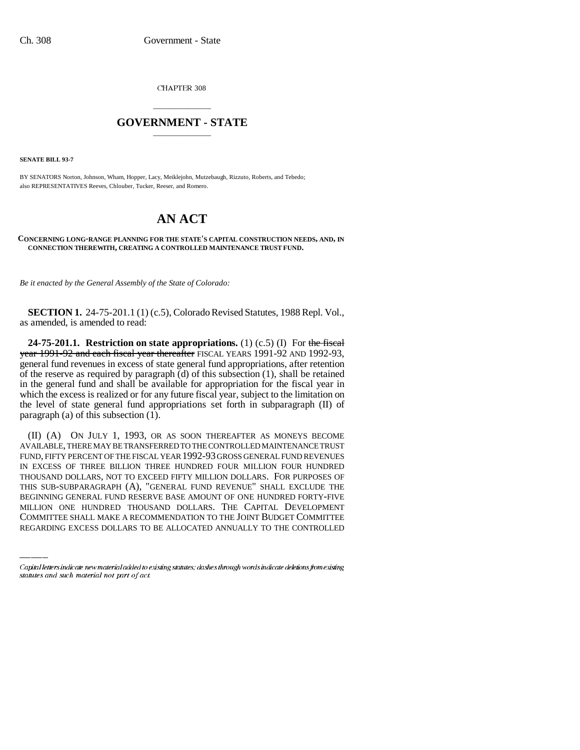CHAPTER 308

## \_\_\_\_\_\_\_\_\_\_\_\_\_\_\_ **GOVERNMENT - STATE** \_\_\_\_\_\_\_\_\_\_\_\_\_\_\_

**SENATE BILL 93-7**

BY SENATORS Norton, Johnson, Wham, Hopper, Lacy, Meiklejohn, Mutzebaugh, Rizzuto, Roberts, and Tebedo; also REPRESENTATIVES Reeves, Chlouber, Tucker, Reeser, and Romero.

# **AN ACT**

#### **CONCERNING LONG-RANGE PLANNING FOR THE STATE'S CAPITAL CONSTRUCTION NEEDS, AND, IN CONNECTION THEREWITH, CREATING A CONTROLLED MAINTENANCE TRUST FUND.**

*Be it enacted by the General Assembly of the State of Colorado:*

**SECTION 1.** 24-75-201.1 (1) (c.5), Colorado Revised Statutes, 1988 Repl. Vol., as amended, is amended to read:

**24-75-201.1. Restriction on state appropriations.** (1) (c.5) (I) For the fiscal year 1991-92 and each fiscal year thereafter FISCAL YEARS 1991-92 AND 1992-93, general fund revenues in excess of state general fund appropriations, after retention of the reserve as required by paragraph (d) of this subsection (1), shall be retained in the general fund and shall be available for appropriation for the fiscal year in which the excess is realized or for any future fiscal year, subject to the limitation on the level of state general fund appropriations set forth in subparagraph (II) of paragraph (a) of this subsection (1).

THIS SUB-SUBPARAGRAPH (A), "GENERAL FUND REVENUE" SHALL EXCLUDE THE (II) (A) ON JULY 1, 1993, OR AS SOON THEREAFTER AS MONEYS BECOME AVAILABLE, THERE MAY BE TRANSFERRED TO THE CONTROLLED MAINTENANCE TRUST FUND, FIFTY PERCENT OF THE FISCAL YEAR 1992-93 GROSS GENERAL FUND REVENUES IN EXCESS OF THREE BILLION THREE HUNDRED FOUR MILLION FOUR HUNDRED THOUSAND DOLLARS, NOT TO EXCEED FIFTY MILLION DOLLARS. FOR PURPOSES OF BEGINNING GENERAL FUND RESERVE BASE AMOUNT OF ONE HUNDRED FORTY-FIVE MILLION ONE HUNDRED THOUSAND DOLLARS. THE CAPITAL DEVELOPMENT COMMITTEE SHALL MAKE A RECOMMENDATION TO THE JOINT BUDGET COMMITTEE REGARDING EXCESS DOLLARS TO BE ALLOCATED ANNUALLY TO THE CONTROLLED

Capital letters indicate new material added to existing statutes; dashes through words indicate deletions from existing statutes and such material not part of act.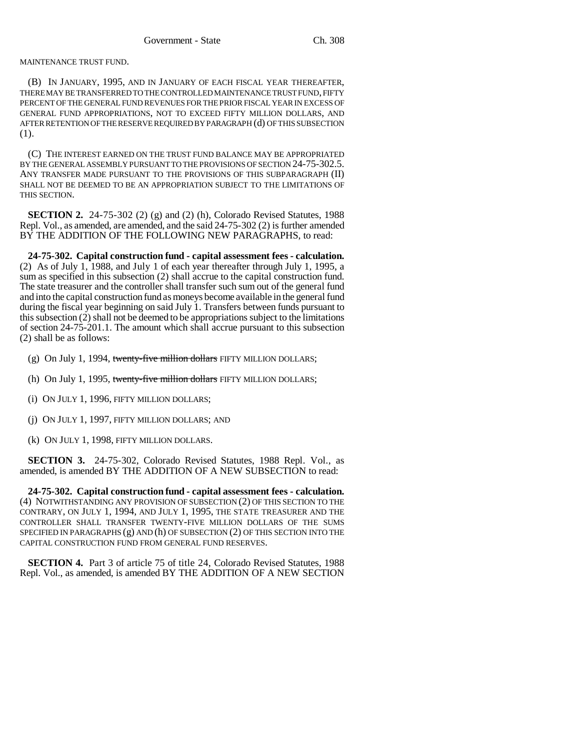#### MAINTENANCE TRUST FUND.

(B) IN JANUARY, 1995, AND IN JANUARY OF EACH FISCAL YEAR THEREAFTER, THERE MAY BE TRANSFERRED TO THE CONTROLLED MAINTENANCE TRUST FUND, FIFTY PERCENT OF THE GENERAL FUND REVENUES FOR THE PRIOR FISCAL YEAR IN EXCESS OF GENERAL FUND APPROPRIATIONS, NOT TO EXCEED FIFTY MILLION DOLLARS, AND AFTER RETENTION OF THE RESERVE REQUIRED BY PARAGRAPH (d) OF THIS SUBSECTION (1).

(C) THE INTEREST EARNED ON THE TRUST FUND BALANCE MAY BE APPROPRIATED BY THE GENERAL ASSEMBLY PURSUANT TO THE PROVISIONS OF SECTION 24-75-302.5. ANY TRANSFER MADE PURSUANT TO THE PROVISIONS OF THIS SUBPARAGRAPH (II) SHALL NOT BE DEEMED TO BE AN APPROPRIATION SUBJECT TO THE LIMITATIONS OF THIS SECTION.

**SECTION 2.** 24-75-302 (2) (g) and (2) (h), Colorado Revised Statutes, 1988 Repl. Vol., as amended, are amended, and the said 24-75-302 (2) is further amended BY THE ADDITION OF THE FOLLOWING NEW PARAGRAPHS, to read:

**24-75-302. Capital construction fund - capital assessment fees - calculation.** (2) As of July 1, 1988, and July 1 of each year thereafter through July 1, 1995, a sum as specified in this subsection (2) shall accrue to the capital construction fund. The state treasurer and the controller shall transfer such sum out of the general fund and into the capital construction fund as moneys become available in the general fund during the fiscal year beginning on said July 1. Transfers between funds pursuant to this subsection (2) shall not be deemed to be appropriations subject to the limitations of section 24-75-201.1. The amount which shall accrue pursuant to this subsection (2) shall be as follows:

- (g) On July 1, 1994, twenty-five million dollars FIFTY MILLION DOLLARS;
- (h) On July 1, 1995, twenty-five million dollars FIFTY MILLION DOLLARS;
- (i) ON JULY 1, 1996, FIFTY MILLION DOLLARS;
- (j) ON JULY 1, 1997, FIFTY MILLION DOLLARS; AND
- (k) ON JULY 1, 1998, FIFTY MILLION DOLLARS.

**SECTION 3.** 24-75-302, Colorado Revised Statutes, 1988 Repl. Vol., as amended, is amended BY THE ADDITION OF A NEW SUBSECTION to read:

**24-75-302. Capital construction fund - capital assessment fees - calculation.** (4) NOTWITHSTANDING ANY PROVISION OF SUBSECTION (2) OF THIS SECTION TO THE CONTRARY, ON JULY 1, 1994, AND JULY 1, 1995, THE STATE TREASURER AND THE CONTROLLER SHALL TRANSFER TWENTY-FIVE MILLION DOLLARS OF THE SUMS SPECIFIED IN PARAGRAPHS  $(g)$  AND  $(h)$  OF SUBSECTION  $(2)$  OF THIS SECTION INTO THE CAPITAL CONSTRUCTION FUND FROM GENERAL FUND RESERVES.

**SECTION 4.** Part 3 of article 75 of title 24, Colorado Revised Statutes, 1988 Repl. Vol., as amended, is amended BY THE ADDITION OF A NEW SECTION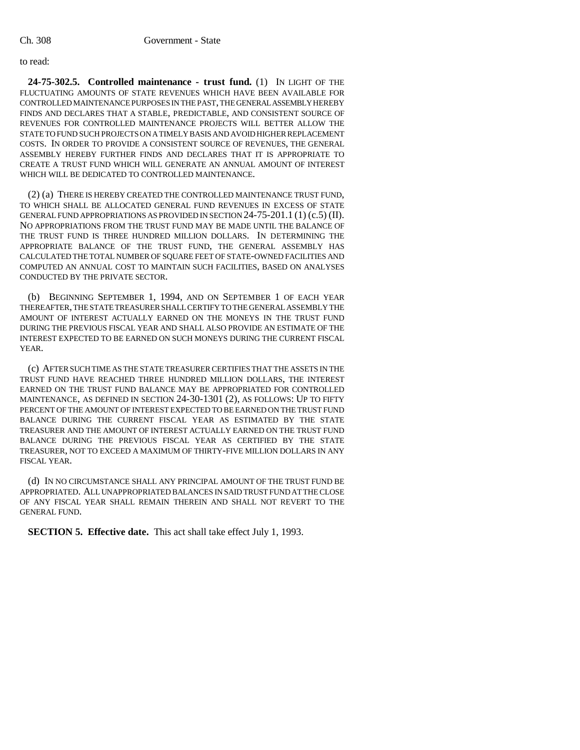### to read:

**24-75-302.5. Controlled maintenance - trust fund.** (1) IN LIGHT OF THE FLUCTUATING AMOUNTS OF STATE REVENUES WHICH HAVE BEEN AVAILABLE FOR CONTROLLED MAINTENANCE PURPOSES IN THE PAST, THE GENERAL ASSEMBLY HEREBY FINDS AND DECLARES THAT A STABLE, PREDICTABLE, AND CONSISTENT SOURCE OF REVENUES FOR CONTROLLED MAINTENANCE PROJECTS WILL BETTER ALLOW THE STATE TO FUND SUCH PROJECTS ON A TIMELY BASIS AND AVOID HIGHER REPLACEMENT COSTS. IN ORDER TO PROVIDE A CONSISTENT SOURCE OF REVENUES, THE GENERAL ASSEMBLY HEREBY FURTHER FINDS AND DECLARES THAT IT IS APPROPRIATE TO CREATE A TRUST FUND WHICH WILL GENERATE AN ANNUAL AMOUNT OF INTEREST WHICH WILL BE DEDICATED TO CONTROLLED MAINTENANCE.

(2) (a) THERE IS HEREBY CREATED THE CONTROLLED MAINTENANCE TRUST FUND, TO WHICH SHALL BE ALLOCATED GENERAL FUND REVENUES IN EXCESS OF STATE GENERAL FUND APPROPRIATIONS AS PROVIDED IN SECTION  $24-75-201.1$  (1) (c.5) (II). NO APPROPRIATIONS FROM THE TRUST FUND MAY BE MADE UNTIL THE BALANCE OF THE TRUST FUND IS THREE HUNDRED MILLION DOLLARS. IN DETERMINING THE APPROPRIATE BALANCE OF THE TRUST FUND, THE GENERAL ASSEMBLY HAS CALCULATED THE TOTAL NUMBER OF SQUARE FEET OF STATE-OWNED FACILITIES AND COMPUTED AN ANNUAL COST TO MAINTAIN SUCH FACILITIES, BASED ON ANALYSES CONDUCTED BY THE PRIVATE SECTOR.

(b) BEGINNING SEPTEMBER 1, 1994, AND ON SEPTEMBER 1 OF EACH YEAR THEREAFTER, THE STATE TREASURER SHALL CERTIFY TO THE GENERAL ASSEMBLY THE AMOUNT OF INTEREST ACTUALLY EARNED ON THE MONEYS IN THE TRUST FUND DURING THE PREVIOUS FISCAL YEAR AND SHALL ALSO PROVIDE AN ESTIMATE OF THE INTEREST EXPECTED TO BE EARNED ON SUCH MONEYS DURING THE CURRENT FISCAL YEAR.

(c) AFTER SUCH TIME AS THE STATE TREASURER CERTIFIES THAT THE ASSETS IN THE TRUST FUND HAVE REACHED THREE HUNDRED MILLION DOLLARS, THE INTEREST EARNED ON THE TRUST FUND BALANCE MAY BE APPROPRIATED FOR CONTROLLED MAINTENANCE, AS DEFINED IN SECTION 24-30-1301 (2), AS FOLLOWS: UP TO FIFTY PERCENT OF THE AMOUNT OF INTEREST EXPECTED TO BE EARNED ON THE TRUST FUND BALANCE DURING THE CURRENT FISCAL YEAR AS ESTIMATED BY THE STATE TREASURER AND THE AMOUNT OF INTEREST ACTUALLY EARNED ON THE TRUST FUND BALANCE DURING THE PREVIOUS FISCAL YEAR AS CERTIFIED BY THE STATE TREASURER, NOT TO EXCEED A MAXIMUM OF THIRTY-FIVE MILLION DOLLARS IN ANY FISCAL YEAR.

(d) IN NO CIRCUMSTANCE SHALL ANY PRINCIPAL AMOUNT OF THE TRUST FUND BE APPROPRIATED. ALL UNAPPROPRIATED BALANCES IN SAID TRUST FUND AT THE CLOSE OF ANY FISCAL YEAR SHALL REMAIN THEREIN AND SHALL NOT REVERT TO THE GENERAL FUND.

**SECTION 5. Effective date.** This act shall take effect July 1, 1993.